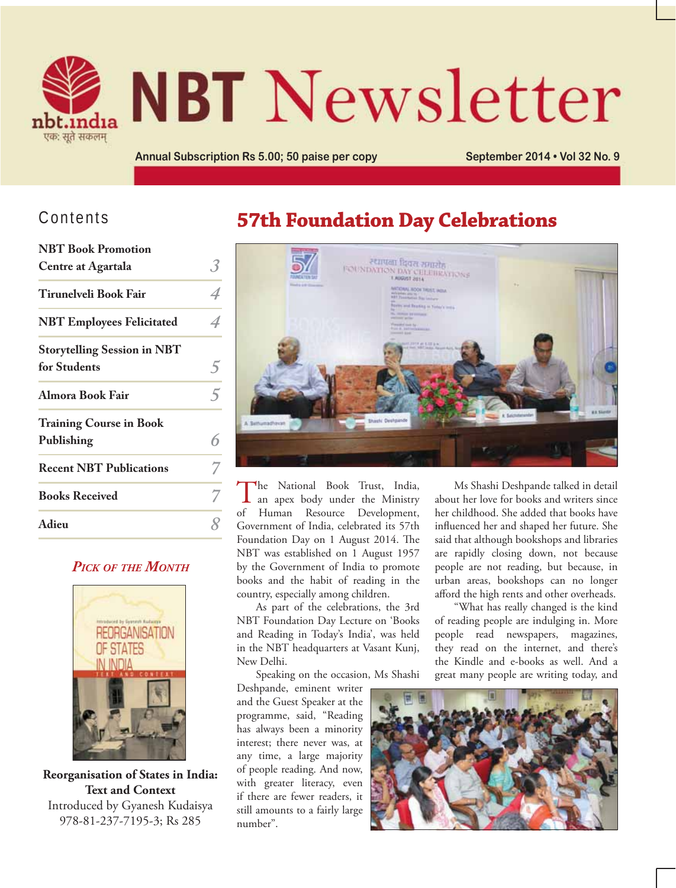

# **NBT** Newsletter

Annual Subscription Rs 5.00; 50 paise per copy **September 2014 . Vol 32 No. 9** 

## Contents

| <b>NBT</b> Book Promotion          |   |
|------------------------------------|---|
| <b>Centre at Agartala</b>          | 3 |
| <b>Tirunelveli Book Fair</b>       |   |
| <b>NBT Employees Felicitated</b>   |   |
| <b>Storytelling Session in NBT</b> |   |
| for Students                       | C |
| Almora Book Fair                   | 5 |
| <b>Training Course in Book</b>     |   |
| Publishing                         | հ |
| <b>Recent NBT Publications</b>     |   |
| <b>Books Received</b>              |   |
| Adieu                              |   |

#### *PICK OF THE MONTH*



**Reorganisation of States in India: Text and Context** Introduced by Gyanesh Kudaisya 978-81-237-7195-3; Rs 285

## **57th Foundation Day Celebrations**



The National Book Trust, India, an apex body under the Ministry of Human Resource Development, Government of India, celebrated its 57th Foundation Day on 1 August 2014. The NBT was established on 1 August 1957 by the Government of India to promote books and the habit of reading in the country, especially among children.

As part of the celebrations, the 3rd NBT Foundation Day Lecture on 'Books and Reading in Today's India', was held in the NBT headquarters at Vasant Kunj, New Delhi.

Speaking on the occasion, Ms Shashi

Deshpande, eminent writer and the Guest Speaker at the programme, said, "Reading has always been a minority interest; there never was, at any time, a large majority of people reading. And now, with greater literacy, even if there are fewer readers, it still amounts to a fairly large number".

Ms Shashi Deshpande talked in detail about her love for books and writers since her childhood. She added that books have influenced her and shaped her future. She said that although bookshops and libraries are rapidly closing down, not because people are not reading, but because, in urban areas, bookshops can no longer afford the high rents and other overheads.

"What has really changed is the kind of reading people are indulging in. More people read newspapers, magazines, they read on the internet, and there's the Kindle and e-books as well. And a great many people are writing today, and

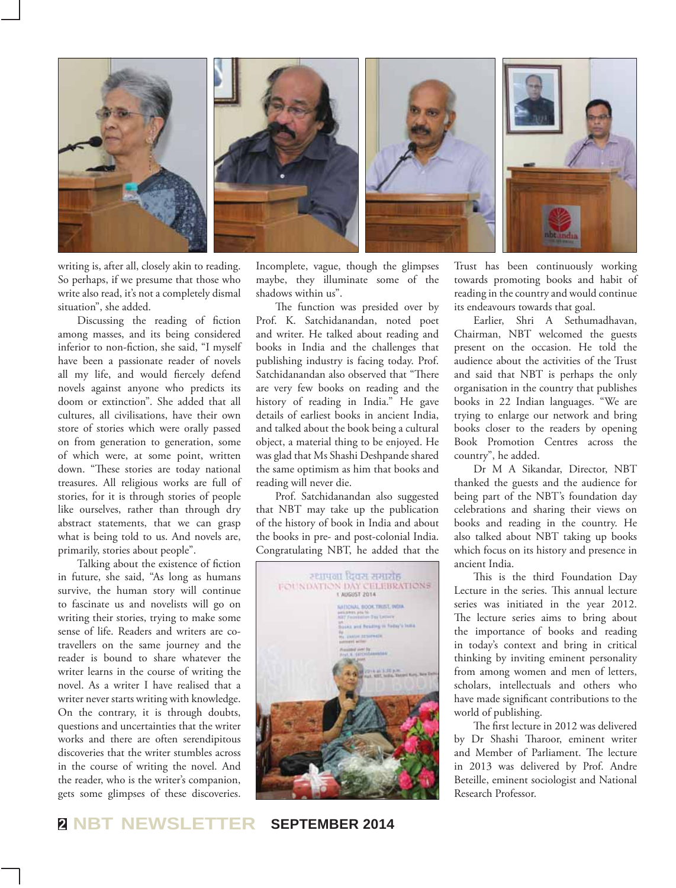

writing is, after all, closely akin to reading. So perhaps, if we presume that those who write also read, it's not a completely dismal situation", she added.

Discussing the reading of fiction among masses, and its being considered inferior to non-fiction, she said, "I myself have been a passionate reader of novels all my life, and would fiercely defend novels against anyone who predicts its doom or extinction". She added that all cultures, all civilisations, have their own store of stories which were orally passed on from generation to generation, some of which were, at some point, written down. "These stories are today national treasures. All religious works are full of stories, for it is through stories of people like ourselves, rather than through dry abstract statements, that we can grasp what is being told to us. And novels are, primarily, stories about people".

Talking about the existence of fiction in future, she said, "As long as humans survive, the human story will continue to fascinate us and novelists will go on writing their stories, trying to make some sense of life. Readers and writers are cotravellers on the same journey and the reader is bound to share whatever the writer learns in the course of writing the novel. As a writer I have realised that a writer never starts writing with knowledge. On the contrary, it is through doubts, questions and uncertainties that the writer works and there are often serendipitous discoveries that the writer stumbles across in the course of writing the novel. And the reader, who is the writer's companion, gets some glimpses of these discoveries.

Incomplete, vague, though the glimpses maybe, they illuminate some of the shadows within us".

The function was presided over by Prof. K. Satchidanandan, noted poet and writer. He talked about reading and books in India and the challenges that publishing industry is facing today. Prof. Satchidanandan also observed that "There are very few books on reading and the history of reading in India." He gave details of earliest books in ancient India, and talked about the book being a cultural object, a material thing to be enjoyed. He was glad that Ms Shashi Deshpande shared the same optimism as him that books and reading will never die.

Prof. Satchidanandan also suggested that NBT may take up the publication of the history of book in India and about the books in pre- and post-colonial India. Congratulating NBT, he added that the



Trust has been continuously working towards promoting books and habit of reading in the country and would continue its endeavours towards that goal.

Earlier, Shri A Sethumadhavan, Chairman, NBT welcomed the guests present on the occasion. He told the audience about the activities of the Trust and said that NBT is perhaps the only organisation in the country that publishes books in 22 Indian languages. "We are trying to enlarge our network and bring books closer to the readers by opening Book Promotion Centres across the country", he added.

Dr M A Sikandar, Director, NBT thanked the guests and the audience for being part of the NBT's foundation day celebrations and sharing their views on books and reading in the country. He also talked about NBT taking up books which focus on its history and presence in ancient India.

This is the third Foundation Day Lecture in the series. This annual lecture series was initiated in the year 2012. The lecture series aims to bring about the importance of books and reading in today's context and bring in critical thinking by inviting eminent personality from among women and men of letters, scholars, intellectuals and others who have made significant contributions to the world of publishing.

The first lecture in 2012 was delivered by Dr Shashi Tharoor, eminent writer and Member of Parliament. The lecture in 2013 was delivered by Prof. Andre Beteille, eminent sociologist and National Research Professor.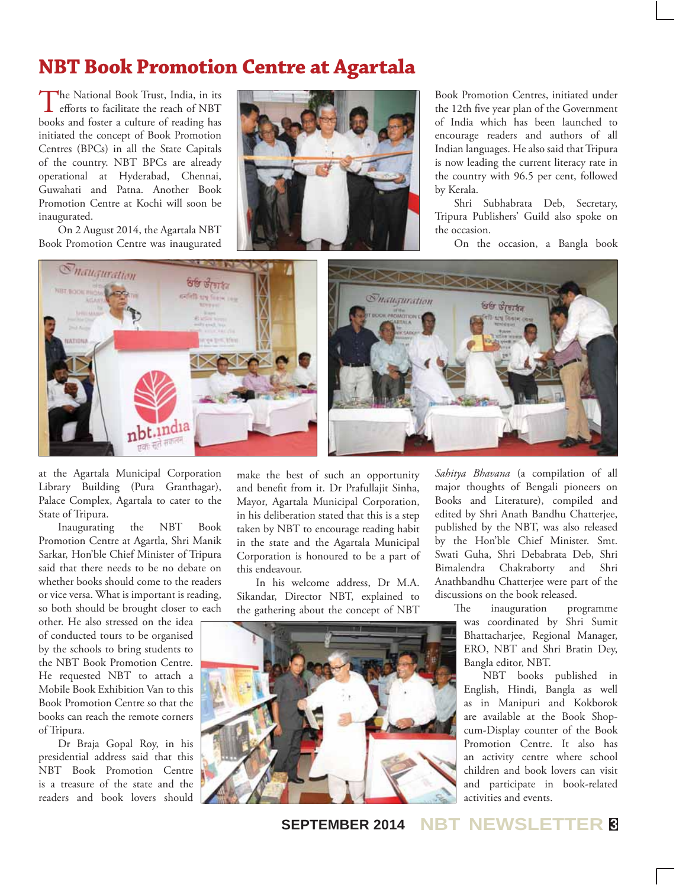## **NBT Book Promotion Centre at Agartala**

The National Book Trust, India, in its efforts to facilitate the reach of NBT books and foster a culture of reading has initiated the concept of Book Promotion Centres (BPCs) in all the State Capitals of the country. NBT BPCs are already operational at Hyderabad, Chennai, Guwahati and Patna. Another Book Promotion Centre at Kochi will soon be inaugurated.

On 2 August 2014, the Agartala NBT Book Promotion Centre was inaugurated



Book Promotion Centres, initiated under the 12th five year plan of the Government of India which has been launched to encourage readers and authors of all Indian languages. He also said that Tripura is now leading the current literacy rate in the country with 96.5 per cent, followed by Kerala.

Shri Subhabrata Deb, Secretary, Tripura Publishers' Guild also spoke on the occasion.

On the occasion, a Bangla book



at the Agartala Municipal Corporation Library Building (Pura Granthagar), Palace Complex, Agartala to cater to the State of Tripura.

Inaugurating the NBT Book Promotion Centre at Agartla, Shri Manik Sarkar, Hon'ble Chief Minister of Tripura said that there needs to be no debate on whether books should come to the readers or vice versa. What is important is reading, so both should be brought closer to each

other. He also stressed on the idea of conducted tours to be organised by the schools to bring students to the NBT Book Promotion Centre. He requested NBT to attach a Mobile Book Exhibition Van to this Book Promotion Centre so that the books can reach the remote corners of Tripura.

Dr Braja Gopal Roy, in his presidential address said that this NBT Book Promotion Centre is a treasure of the state and the readers and book lovers should make the best of such an opportunity and benefit from it. Dr Prafullajit Sinha, Mayor, Agartala Municipal Corporation, in his deliberation stated that this is a step taken by NBT to encourage reading habit in the state and the Agartala Municipal Corporation is honoured to be a part of this endeavour.

In his welcome address, Dr M.A. Sikandar, Director NBT, explained to the gathering about the concept of NBT



*Sahitya Bhavana* (a compilation of all major thoughts of Bengali pioneers on Books and Literature), compiled and edited by Shri Anath Bandhu Chatterjee, published by the NBT, was also released by the Hon'ble Chief Minister. Smt. Swati Guha, Shri Debabrata Deb, Shri Bimalendra Chakraborty and Shri Anathbandhu Chatterjee were part of the discussions on the book released.

> The inauguration programme was coordinated by Shri Sumit Bhattacharjee, Regional Manager, ERO, NBT and Shri Bratin Dey, Bangla editor, NBT.

NBT books published in English, Hindi, Bangla as well as in Manipuri and Kokborok are available at the Book Shopcum-Display counter of the Book Promotion Centre. It also has an activity centre where school children and book lovers can visit and participate in book-related activities and events.

**SEPTEMBER 2014 NBT NEWSLETTER <sup>3</sup>**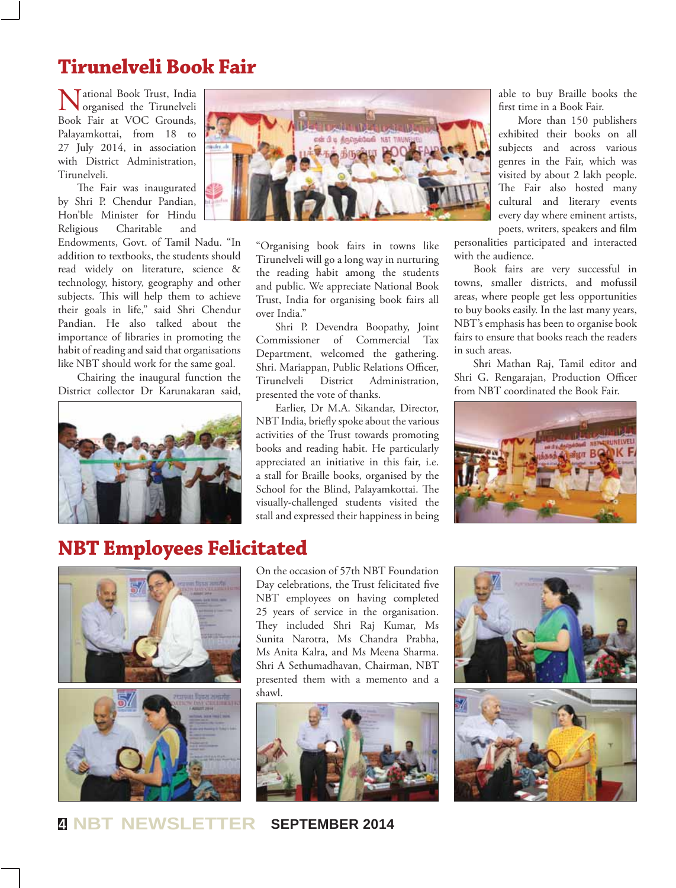## **Tirunelveli Book Fair**

Tational Book Trust, India organised the Tirunelveli Book Fair at VOC Grounds, Palayamkottai, from 18 to 27 July 2014, in association with District Administration, Tirunelveli.

The Fair was inaugurated by Shri P. Chendur Pandian, Hon'ble Minister for Hindu Religious Charitable and

Endowments, Govt. of Tamil Nadu. "In addition to textbooks, the students should read widely on literature, science & technology, history, geography and other subjects. This will help them to achieve their goals in life," said Shri Chendur Pandian. He also talked about the importance of libraries in promoting the habit of reading and said that organisations like NBT should work for the same goal.

Chairing the inaugural function the District collector Dr Karunakaran said,





"Organising book fairs in towns like Tirunelveli will go a long way in nurturing the reading habit among the students and public. We appreciate National Book Trust, India for organising book fairs all over India."

Shri P. Devendra Boopathy, Joint Commissioner of Commercial Tax Department, welcomed the gathering. Shri. Mariappan, Public Relations Officer, Tirunelveli District Administration, presented the vote of thanks.

Earlier, Dr M.A. Sikandar, Director, NBT India, briefly spoke about the various activities of the Trust towards promoting books and reading habit. He particularly appreciated an initiative in this fair, i.e. a stall for Braille books, organised by the School for the Blind, Palayamkottai. The visually-challenged students visited the stall and expressed their happiness in being

able to buy Braille books the first time in a Book Fair.

More than 150 publishers exhibited their books on all subjects and across various genres in the Fair, which was visited by about 2 lakh people. The Fair also hosted many cultural and literary events every day where eminent artists, poets, writers, speakers and film

personalities participated and interacted with the audience.

Book fairs are very successful in towns, smaller districts, and mofussil areas, where people get less opportunities to buy books easily. In the last many years, NBT's emphasis has been to organise book fairs to ensure that books reach the readers in such areas.

Shri Mathan Raj, Tamil editor and Shri G. Rengarajan, Production Officer from NBT coordinated the Book Fair.



## **NBT Employees Felicitated**





On the occasion of 57th NBT Foundation Day celebrations, the Trust felicitated five NBT employees on having completed 25 years of service in the organisation. They included Shri Raj Kumar, Ms Sunita Narotra, Ms Chandra Prabha, Ms Anita Kalra, and Ms Meena Sharma. Shri A Sethumadhavan, Chairman, NBT presented them with a memento and a shawl.



**<sup>4</sup> NBT NEWSLETTER SEPTEMBER 2014**

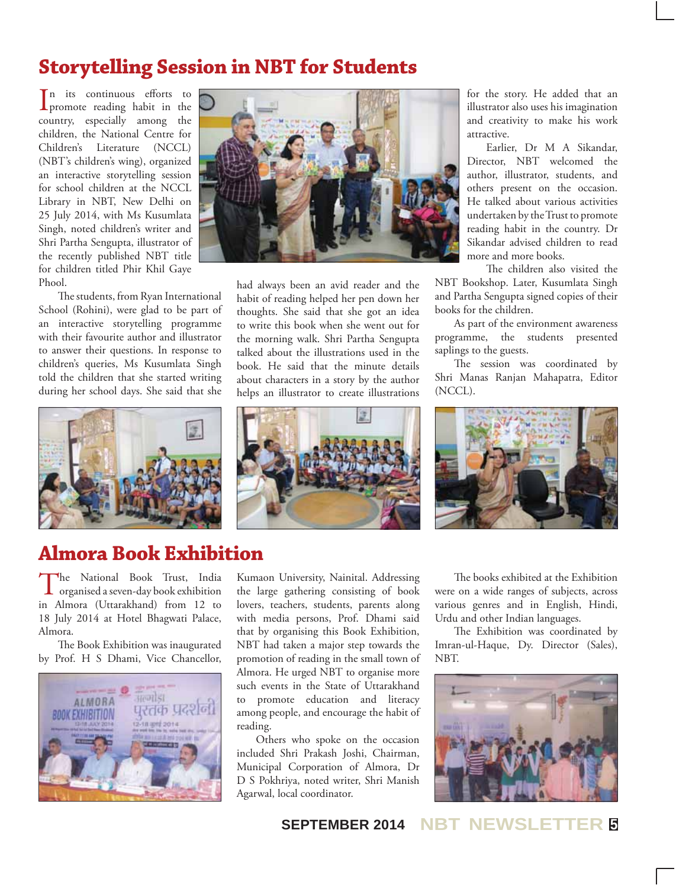## **Storytelling Session in NBT for Students**

In its continuous efforts to<br>promote reading habit in the n its continuous efforts to country, especially among the children, the National Centre for Children's Literature (NCCL) (NBT's children's wing), organized an interactive storytelling session for school children at the NCCL Library in NBT, New Delhi on 25 July 2014, with Ms Kusumlata Singh, noted children's writer and Shri Partha Sengupta, illustrator of the recently published NBT title for children titled Phir Khil Gaye Phool.

The students, from Ryan International School (Rohini), were glad to be part of an interactive storytelling programme with their favourite author and illustrator to answer their questions. In response to children's queries, Ms Kusumlata Singh told the children that she started writing during her school days. She said that she



had always been an avid reader and the habit of reading helped her pen down her thoughts. She said that she got an idea to write this book when she went out for the morning walk. Shri Partha Sengupta talked about the illustrations used in the book. He said that the minute details about characters in a story by the author helps an illustrator to create illustrations

for the story. He added that an illustrator also uses his imagination and creativity to make his work attractive.

Earlier, Dr M A Sikandar, Director, NBT welcomed the author, illustrator, students, and others present on the occasion. He talked about various activities undertaken by the Trust to promote reading habit in the country. Dr Sikandar advised children to read more and more books.

The children also visited the NBT Bookshop. Later, Kusumlata Singh and Partha Sengupta signed copies of their books for the children.

As part of the environment awareness programme, the students presented saplings to the guests.

The session was coordinated by Shri Manas Ranjan Mahapatra, Editor (NCCL).





## **Almora Book Exhibition**

The National Book Trust, India organised a seven-day book exhibition in Almora (Uttarakhand) from 12 to 18 July 2014 at Hotel Bhagwati Palace, Almora.

The Book Exhibition was inaugurated by Prof. H S Dhami, Vice Chancellor,



Kumaon University, Nainital. Addressing the large gathering consisting of book lovers, teachers, students, parents along with media persons, Prof. Dhami said that by organising this Book Exhibition, NBT had taken a major step towards the promotion of reading in the small town of Almora. He urged NBT to organise more such events in the State of Uttarakhand to promote education and literacy among people, and encourage the habit of reading.

Others who spoke on the occasion included Shri Prakash Joshi, Chairman, Municipal Corporation of Almora, Dr D S Pokhriya, noted writer, Shri Manish Agarwal, local coordinator.

The books exhibited at the Exhibition were on a wide ranges of subjects, across various genres and in English, Hindi, Urdu and other Indian languages.

The Exhibition was coordinated by Imran-ul-Haque, Dy. Director (Sales), NBT.



**SEPTEMBER 2014 NBT NEWSLETTER <sup>5</sup>**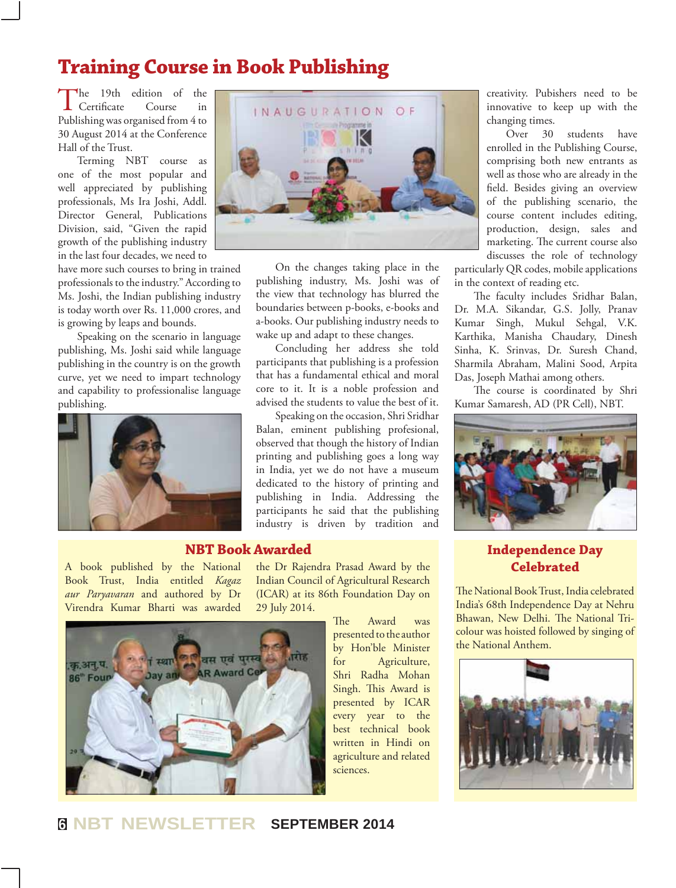## **Training Course in Book Publishing**

The 19th edition of the<br>Certificate Course in  $\mathsf{\mathsf{L}}$  Certificate Publishing was organised from 4 to 30 August 2014 at the Conference Hall of the Trust.

Terming NBT course as one of the most popular and well appreciated by publishing professionals, Ms Ira Joshi, Addl. Director General, Publications Division, said, "Given the rapid growth of the publishing industry in the last four decades, we need to

have more such courses to bring in trained professionals to the industry." According to Ms. Joshi, the Indian publishing industry is today worth over Rs. 11,000 crores, and is growing by leaps and bounds.

Speaking on the scenario in language publishing, Ms. Joshi said while language publishing in the country is on the growth curve, yet we need to impart technology and capability to professionalise language publishing.





On the changes taking place in the publishing industry, Ms. Joshi was of the view that technology has blurred the boundaries between p-books, e-books and a-books. Our publishing industry needs to wake up and adapt to these changes.

Concluding her address she told participants that publishing is a profession that has a fundamental ethical and moral core to it. It is a noble profession and advised the students to value the best of it.

Speaking on the occasion, Shri Sridhar Balan, eminent publishing profesional, observed that though the history of Indian printing and publishing goes a long way in India, yet we do not have a museum dedicated to the history of printing and publishing in India. Addressing the participants he said that the publishing industry is driven by tradition and

#### **NBT Book Awarded**

A book published by the National Book Trust, India entitled *Kagaz aur Paryavaran* and authored by Dr Virendra Kumar Bharti was awarded



the Dr Rajendra Prasad Award by the Indian Council of Agricultural Research (ICAR) at its 86th Foundation Day on 29 July 2014.

> The Award was presented to the author by Hon'ble Minister for Agriculture, Shri Radha Mohan Singh. This Award is presented by ICAR every year to the best technical book written in Hindi on agriculture and related sciences.

creativity. Pubishers need to be innovative to keep up with the changing times.

Over 30 students have enrolled in the Publishing Course, comprising both new entrants as well as those who are already in the field. Besides giving an overview of the publishing scenario, the course content includes editing, production, design, sales and marketing. The current course also discusses the role of technology

particularly QR codes, mobile applications in the context of reading etc.

The faculty includes Sridhar Balan, Dr. M.A. Sikandar, G.S. Jolly, Pranav Kumar Singh, Mukul Sehgal, V.K. Karthika, Manisha Chaudary, Dinesh Sinha, K. Srinvas, Dr. Suresh Chand, Sharmila Abraham, Malini Sood, Arpita Das, Joseph Mathai among others.

The course is coordinated by Shri Kumar Samaresh, AD (PR Cell), NBT.



#### **Independence Day Celebrated**

The National Book Trust, India celebrated India's 68th Independence Day at Nehru Bhawan, New Delhi. The National Tricolour was hoisted followed by singing of the National Anthem.



## **6 NBT NEWSLETTER SEPTEMBER 2014**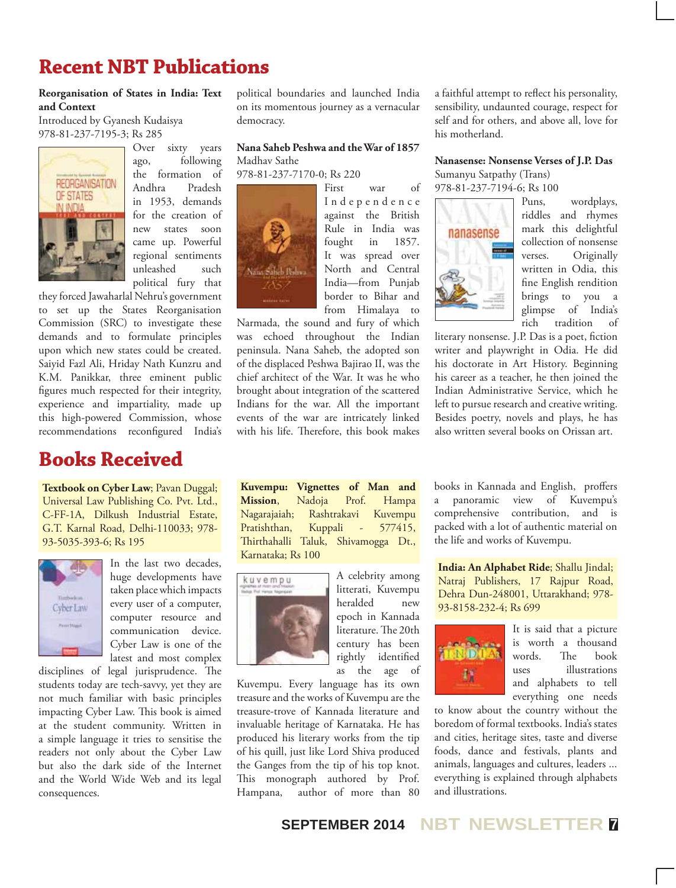## **Recent NBT Publications**

#### **Reorganisation of States in India: Text and Context**

Introduced by Gyanesh Kudaisya 978-81-237-7195-3; Rs 285



Over sixty years ago, following the formation of Andhra Pradesh in 1953, demands for the creation of new states soon came up. Powerful regional sentiments unleashed such political fury that

they forced Jawaharlal Nehru's government to set up the States Reorganisation Commission (SRC) to investigate these demands and to formulate principles upon which new states could be created. Saiyid Fazl Ali, Hriday Nath Kunzru and K.M. Panikkar, three eminent public figures much respected for their integrity, experience and impartiality, made up this high-powered Commission, whose recommendations reconfigured India's

## **Books Received**

**Textbook on Cyber Law**; Pavan Duggal; Universal Law Publishing Co. Pvt. Ltd., C-FF-1A, Dilkush Industrial Estate, G.T. Karnal Road, Delhi-110033; 978- 93-5035-393-6; Rs 195



In the last two decades, huge developments have taken place which impacts every user of a computer, computer resource and communication device. Cyber Law is one of the latest and most complex

disciplines of legal jurisprudence. The students today are tech-savvy, yet they are not much familiar with basic principles impacting Cyber Law. This book is aimed at the student community. Written in a simple language it tries to sensitise the readers not only about the Cyber Law but also the dark side of the Internet and the World Wide Web and its legal consequences.

political boundaries and launched India on its momentous journey as a vernacular democracy.

#### **Nana Saheb Peshwa and the War of 1857** Madhav Sathe

978-81-237-7170-0; Rs 220



First war of I n d e p e n d e n c e against the British Rule in India was fought in 1857. It was spread over North and Central India—from Punjab border to Bihar and from Himalaya to

Narmada, the sound and fury of which was echoed throughout the Indian peninsula. Nana Saheb, the adopted son of the displaced Peshwa Bajirao II, was the chief architect of the War. It was he who brought about integration of the scattered Indians for the war. All the important events of the war are intricately linked with his life. Therefore, this book makes

**Kuvempu: Vignettes of Man and Mission**, Nadoja Prof. Hampa Nagarajaiah; Rashtrakavi Kuvempu Pratishthan, Kuppali - 577415, Thirthahalli Taluk, Shivamogga Dt., Karnataka; Rs 100



A celebrity among litterati, Kuvempu heralded new epoch in Kannada literature. The 20th century has been rightly identified as the age of

Kuvempu. Every language has its own treasure and the works of Kuvempu are the treasure-trove of Kannada literature and invaluable heritage of Karnataka. He has produced his literary works from the tip of his quill, just like Lord Shiva produced the Ganges from the tip of his top knot. This monograph authored by Prof. Hampana, author of more than 80

a faithful attempt to reflect his personality, sensibility, undaunted courage, respect for self and for others, and above all, love for his motherland.

**Nanasense: Nonsense Verses of J.P. Das** Sumanyu Satpathy (Trans) 978-81-237-7194-6; Rs 100



Puns, wordplays, riddles and rhymes mark this delightful collection of nonsense verses. Originally written in Odia, this fine English rendition brings to you a glimpse of India's rich tradition of

literary nonsense. J.P. Das is a poet, fiction writer and playwright in Odia. He did his doctorate in Art History. Beginning his career as a teacher, he then joined the Indian Administrative Service, which he left to pursue research and creative writing. Besides poetry, novels and plays, he has also written several books on Orissan art.

books in Kannada and English, proffers a panoramic view of Kuvempu's comprehensive contribution, and is packed with a lot of authentic material on the life and works of Kuvempu.

**India: An Alphabet Ride**; Shallu Jindal; Natraj Publishers, 17 Rajpur Road, Dehra Dun-248001, Uttarakhand; 978- 93-8158-232-4; Rs 699



It is said that a picture is worth a thousand words. The book uses illustrations and alphabets to tell everything one needs

to know about the country without the boredom of formal textbooks. India's states and cities, heritage sites, taste and diverse foods, dance and festivals, plants and animals, languages and cultures, leaders ... everything is explained through alphabets and illustrations.